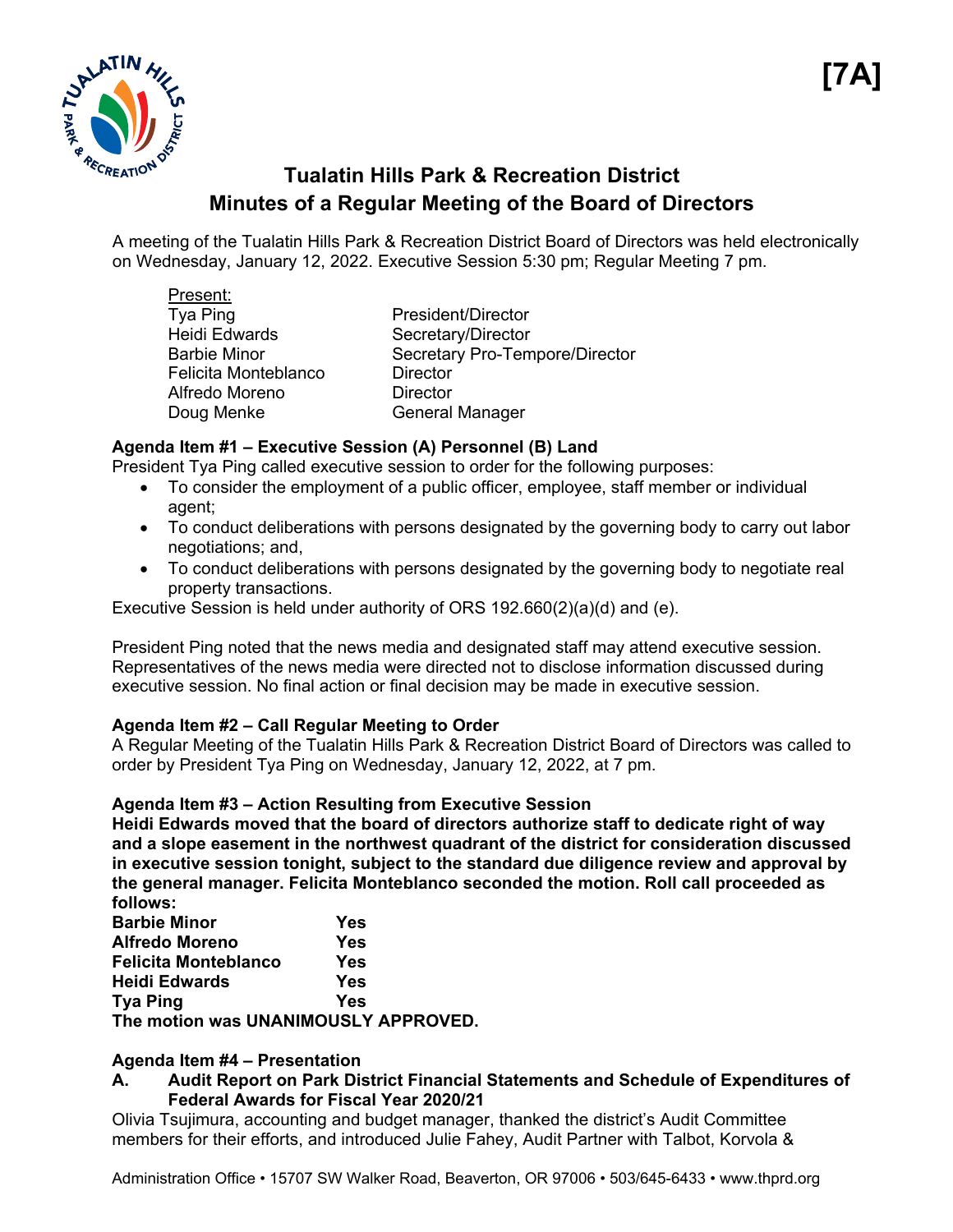

# **Tualatin Hills Park & Recreation District Minutes of a Regular Meeting of the Board of Directors**

A meeting of the Tualatin Hills Park & Recreation District Board of Directors was held electronically on Wednesday, January 12, 2022. Executive Session 5:30 pm; Regular Meeting 7 pm.

| President/Director             |
|--------------------------------|
| Secretary/Director             |
| Secretary Pro-Tempore/Director |
| <b>Director</b>                |
| <b>Director</b>                |
| <b>General Manager</b>         |
|                                |

# **Agenda Item #1 – Executive Session (A) Personnel (B) Land**

President Tya Ping called executive session to order for the following purposes:

- To consider the employment of a public officer, employee, staff member or individual agent;
- To conduct deliberations with persons designated by the governing body to carry out labor negotiations; and,
- To conduct deliberations with persons designated by the governing body to negotiate real property transactions.

Executive Session is held under authority of ORS 192.660(2)(a)(d) and (e).

President Ping noted that the news media and designated staff may attend executive session. Representatives of the news media were directed not to disclose information discussed during executive session. No final action or final decision may be made in executive session.

# **Agenda Item #2 – Call Regular Meeting to Order**

A Regular Meeting of the Tualatin Hills Park & Recreation District Board of Directors was called to order by President Tya Ping on Wednesday, January 12, 2022, at 7 pm.

## **Agenda Item #3 – Action Resulting from Executive Session**

**Heidi Edwards moved that the board of directors authorize staff to dedicate right of way and a slope easement in the northwest quadrant of the district for consideration discussed in executive session tonight, subject to the standard due diligence review and approval by the general manager. Felicita Monteblanco seconded the motion. Roll call proceeded as follows:** 

| <b>Barbie Minor</b>                  | Yes |
|--------------------------------------|-----|
| <b>Alfredo Moreno</b>                | Yes |
| <b>Felicita Monteblanco</b>          | Yes |
| <b>Heidi Edwards</b>                 | Yes |
| <b>Tya Ping</b>                      | Yes |
| The motion was UNANIMOUSLY APPROVED. |     |

## **Agenda Item #4 – Presentation**

## **A. Audit Report on Park District Financial Statements and Schedule of Expenditures of Federal Awards for Fiscal Year 2020/21**

Olivia Tsujimura, accounting and budget manager, thanked the district's Audit Committee members for their efforts, and introduced Julie Fahey, Audit Partner with Talbot, Korvola &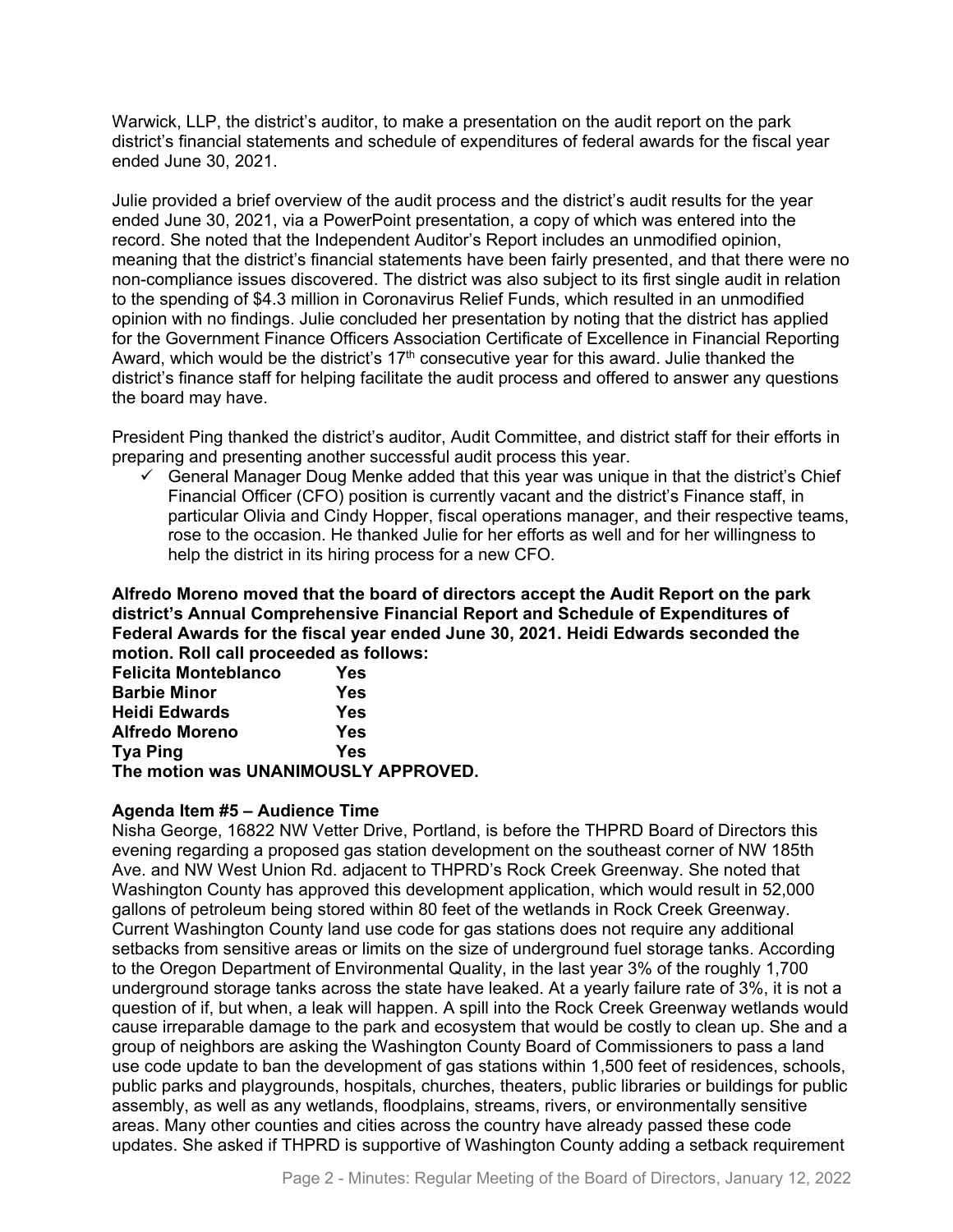Warwick, LLP, the district's auditor, to make a presentation on the audit report on the park district's financial statements and schedule of expenditures of federal awards for the fiscal year ended June 30, 2021.

Julie provided a brief overview of the audit process and the district's audit results for the year ended June 30, 2021, via a PowerPoint presentation, a copy of which was entered into the record. She noted that the Independent Auditor's Report includes an unmodified opinion, meaning that the district's financial statements have been fairly presented, and that there were no non-compliance issues discovered. The district was also subject to its first single audit in relation to the spending of \$4.3 million in Coronavirus Relief Funds, which resulted in an unmodified opinion with no findings. Julie concluded her presentation by noting that the district has applied for the Government Finance Officers Association Certificate of Excellence in Financial Reporting Award, which would be the district's  $17<sup>th</sup>$  consecutive year for this award. Julie thanked the district's finance staff for helping facilitate the audit process and offered to answer any questions the board may have.

President Ping thanked the district's auditor, Audit Committee, and district staff for their efforts in preparing and presenting another successful audit process this year.

 $\checkmark$  General Manager Doug Menke added that this year was unique in that the district's Chief Financial Officer (CFO) position is currently vacant and the district's Finance staff, in particular Olivia and Cindy Hopper, fiscal operations manager, and their respective teams, rose to the occasion. He thanked Julie for her efforts as well and for her willingness to help the district in its hiring process for a new CFO.

**Alfredo Moreno moved that the board of directors accept the Audit Report on the park district's Annual Comprehensive Financial Report and Schedule of Expenditures of Federal Awards for the fiscal year ended June 30, 2021. Heidi Edwards seconded the motion. Roll call proceeded as follows:** 

| <b>Felicita Monteblanco</b>          | Yes |
|--------------------------------------|-----|
| <b>Barbie Minor</b>                  | Yes |
| <b>Heidi Edwards</b>                 | Yes |
| <b>Alfredo Moreno</b>                | Yes |
| <b>Tya Ping</b>                      | Yes |
| The motion was UNANIMOUSLY APPROVED. |     |

## **Agenda Item #5 – Audience Time**

Nisha George, 16822 NW Vetter Drive, Portland, is before the THPRD Board of Directors this evening regarding a proposed gas station development on the southeast corner of NW 185th Ave. and NW West Union Rd. adjacent to THPRD's Rock Creek Greenway. She noted that Washington County has approved this development application, which would result in 52,000 gallons of petroleum being stored within 80 feet of the wetlands in Rock Creek Greenway. Current Washington County land use code for gas stations does not require any additional setbacks from sensitive areas or limits on the size of underground fuel storage tanks. According to the Oregon Department of Environmental Quality, in the last year 3% of the roughly 1,700 underground storage tanks across the state have leaked. At a yearly failure rate of 3%, it is not a question of if, but when, a leak will happen. A spill into the Rock Creek Greenway wetlands would cause irreparable damage to the park and ecosystem that would be costly to clean up. She and a group of neighbors are asking the Washington County Board of Commissioners to pass a land use code update to ban the development of gas stations within 1,500 feet of residences, schools, public parks and playgrounds, hospitals, churches, theaters, public libraries or buildings for public assembly, as well as any wetlands, floodplains, streams, rivers, or environmentally sensitive areas. Many other counties and cities across the country have already passed these code updates. She asked if THPRD is supportive of Washington County adding a setback requirement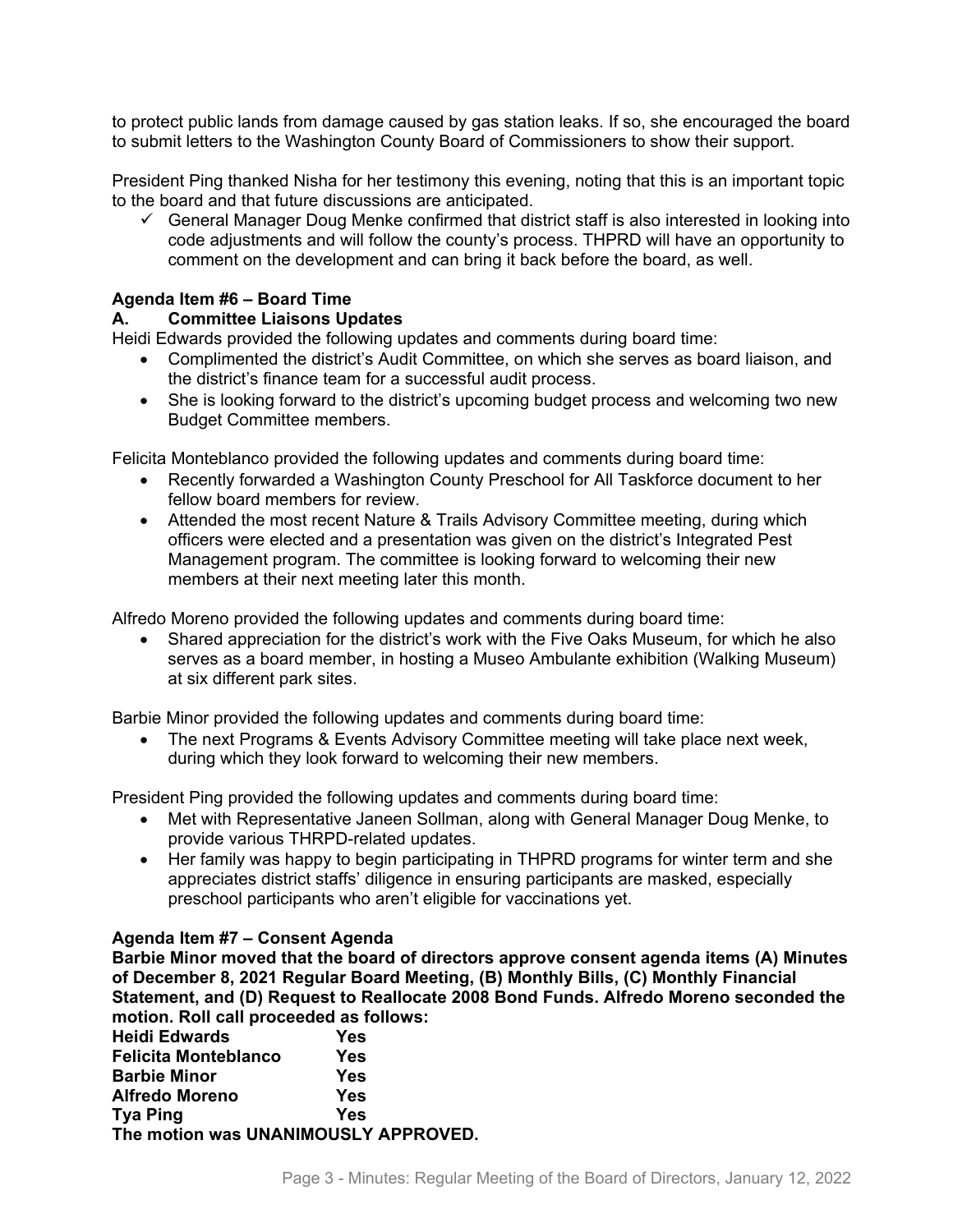to protect public lands from damage caused by gas station leaks. If so, she encouraged the board to submit letters to the Washington County Board of Commissioners to show their support.

President Ping thanked Nisha for her testimony this evening, noting that this is an important topic to the board and that future discussions are anticipated.

 $\checkmark$  General Manager Doug Menke confirmed that district staff is also interested in looking into code adjustments and will follow the county's process. THPRD will have an opportunity to comment on the development and can bring it back before the board, as well.

### **Agenda Item #6 – Board Time**

### **A. Committee Liaisons Updates**

Heidi Edwards provided the following updates and comments during board time:

- Complimented the district's Audit Committee, on which she serves as board liaison, and the district's finance team for a successful audit process.
- She is looking forward to the district's upcoming budget process and welcoming two new Budget Committee members.

Felicita Monteblanco provided the following updates and comments during board time:

- Recently forwarded a Washington County Preschool for All Taskforce document to her fellow board members for review.
- Attended the most recent Nature & Trails Advisory Committee meeting, during which officers were elected and a presentation was given on the district's Integrated Pest Management program. The committee is looking forward to welcoming their new members at their next meeting later this month.

Alfredo Moreno provided the following updates and comments during board time:

• Shared appreciation for the district's work with the Five Oaks Museum, for which he also serves as a board member, in hosting a Museo Ambulante exhibition (Walking Museum) at six different park sites.

Barbie Minor provided the following updates and comments during board time:

• The next Programs & Events Advisory Committee meeting will take place next week, during which they look forward to welcoming their new members.

President Ping provided the following updates and comments during board time:

- Met with Representative Janeen Sollman, along with General Manager Doug Menke, to provide various THRPD-related updates.
- Her family was happy to begin participating in THPRD programs for winter term and she appreciates district staffs' diligence in ensuring participants are masked, especially preschool participants who aren't eligible for vaccinations yet.

## **Agenda Item #7 – Consent Agenda**

**Barbie Minor moved that the board of directors approve consent agenda items (A) Minutes of December 8, 2021 Regular Board Meeting, (B) Monthly Bills, (C) Monthly Financial Statement, and (D) Request to Reallocate 2008 Bond Funds. Alfredo Moreno seconded the motion. Roll call proceeded as follows:** 

| <b>Heidi Edwards</b>                 | Yes |
|--------------------------------------|-----|
| <b>Felicita Monteblanco</b>          | Yes |
| <b>Barbie Minor</b>                  | Yes |
| <b>Alfredo Moreno</b>                | Yes |
| <b>Tya Ping</b>                      | Yes |
| The motion was UNANIMOUSLY APPROVED. |     |
|                                      |     |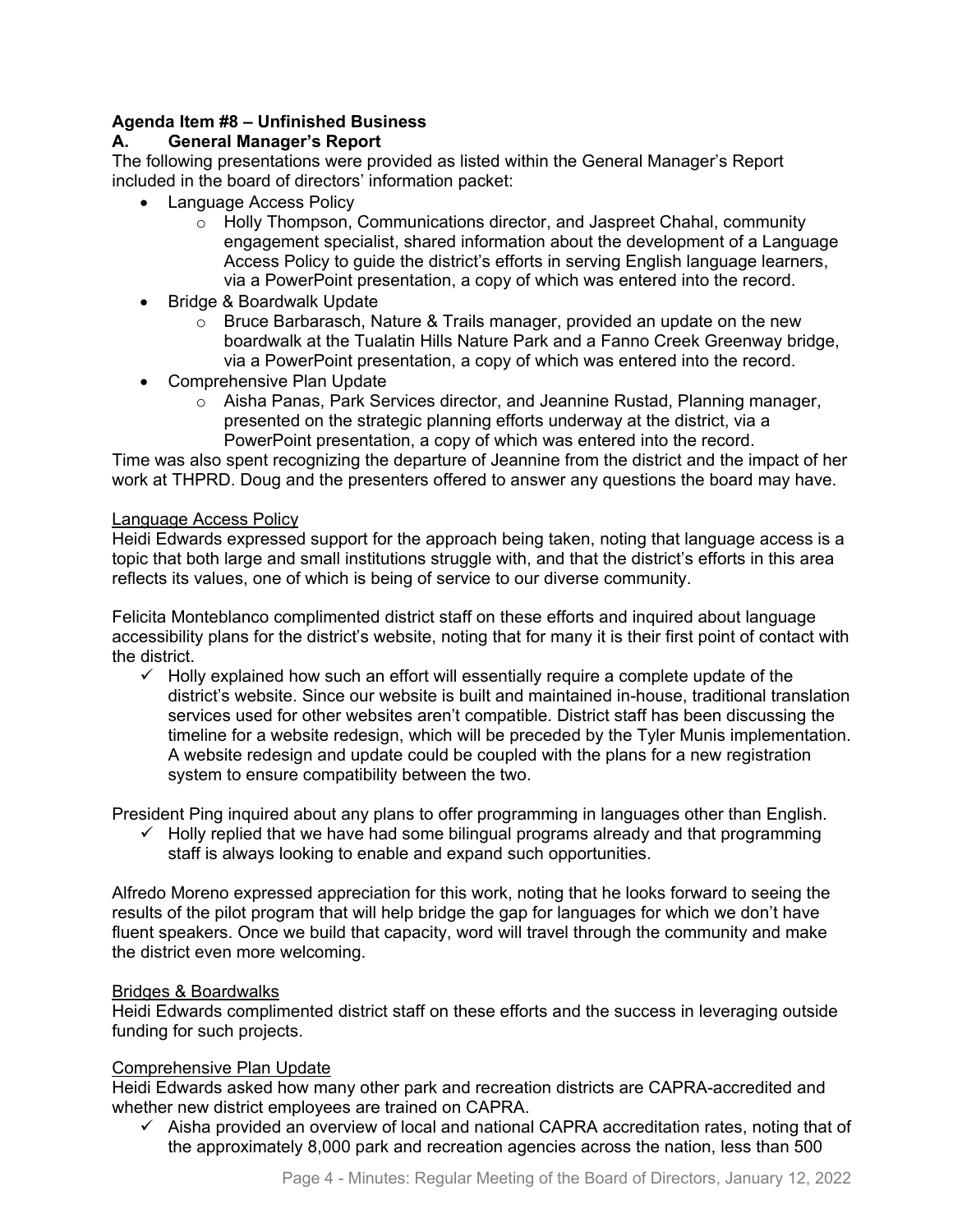# **Agenda Item #8 – Unfinished Business**

## **A. General Manager's Report**

The following presentations were provided as listed within the General Manager's Report included in the board of directors' information packet:

- Language Access Policy
	- $\circ$  Holly Thompson, Communications director, and Jaspreet Chahal, community engagement specialist, shared information about the development of a Language Access Policy to guide the district's efforts in serving English language learners, via a PowerPoint presentation, a copy of which was entered into the record.
- Bridge & Boardwalk Update
	- $\circ$  Bruce Barbarasch, Nature & Trails manager, provided an update on the new boardwalk at the Tualatin Hills Nature Park and a Fanno Creek Greenway bridge, via a PowerPoint presentation, a copy of which was entered into the record.
- Comprehensive Plan Update
	- o Aisha Panas, Park Services director, and Jeannine Rustad, Planning manager, presented on the strategic planning efforts underway at the district, via a PowerPoint presentation, a copy of which was entered into the record.

Time was also spent recognizing the departure of Jeannine from the district and the impact of her work at THPRD. Doug and the presenters offered to answer any questions the board may have.

#### Language Access Policy

Heidi Edwards expressed support for the approach being taken, noting that language access is a topic that both large and small institutions struggle with, and that the district's efforts in this area reflects its values, one of which is being of service to our diverse community.

Felicita Monteblanco complimented district staff on these efforts and inquired about language accessibility plans for the district's website, noting that for many it is their first point of contact with the district.

 $\checkmark$  Holly explained how such an effort will essentially require a complete update of the district's website. Since our website is built and maintained in-house, traditional translation services used for other websites aren't compatible. District staff has been discussing the timeline for a website redesign, which will be preceded by the Tyler Munis implementation. A website redesign and update could be coupled with the plans for a new registration system to ensure compatibility between the two.

President Ping inquired about any plans to offer programming in languages other than English.

 $\checkmark$  Holly replied that we have had some bilingual programs already and that programming staff is always looking to enable and expand such opportunities.

Alfredo Moreno expressed appreciation for this work, noting that he looks forward to seeing the results of the pilot program that will help bridge the gap for languages for which we don't have fluent speakers. Once we build that capacity, word will travel through the community and make the district even more welcoming.

#### Bridges & Boardwalks

Heidi Edwards complimented district staff on these efforts and the success in leveraging outside funding for such projects.

#### Comprehensive Plan Update

Heidi Edwards asked how many other park and recreation districts are CAPRA-accredited and whether new district employees are trained on CAPRA.

 $\checkmark$  Aisha provided an overview of local and national CAPRA accreditation rates, noting that of the approximately 8,000 park and recreation agencies across the nation, less than 500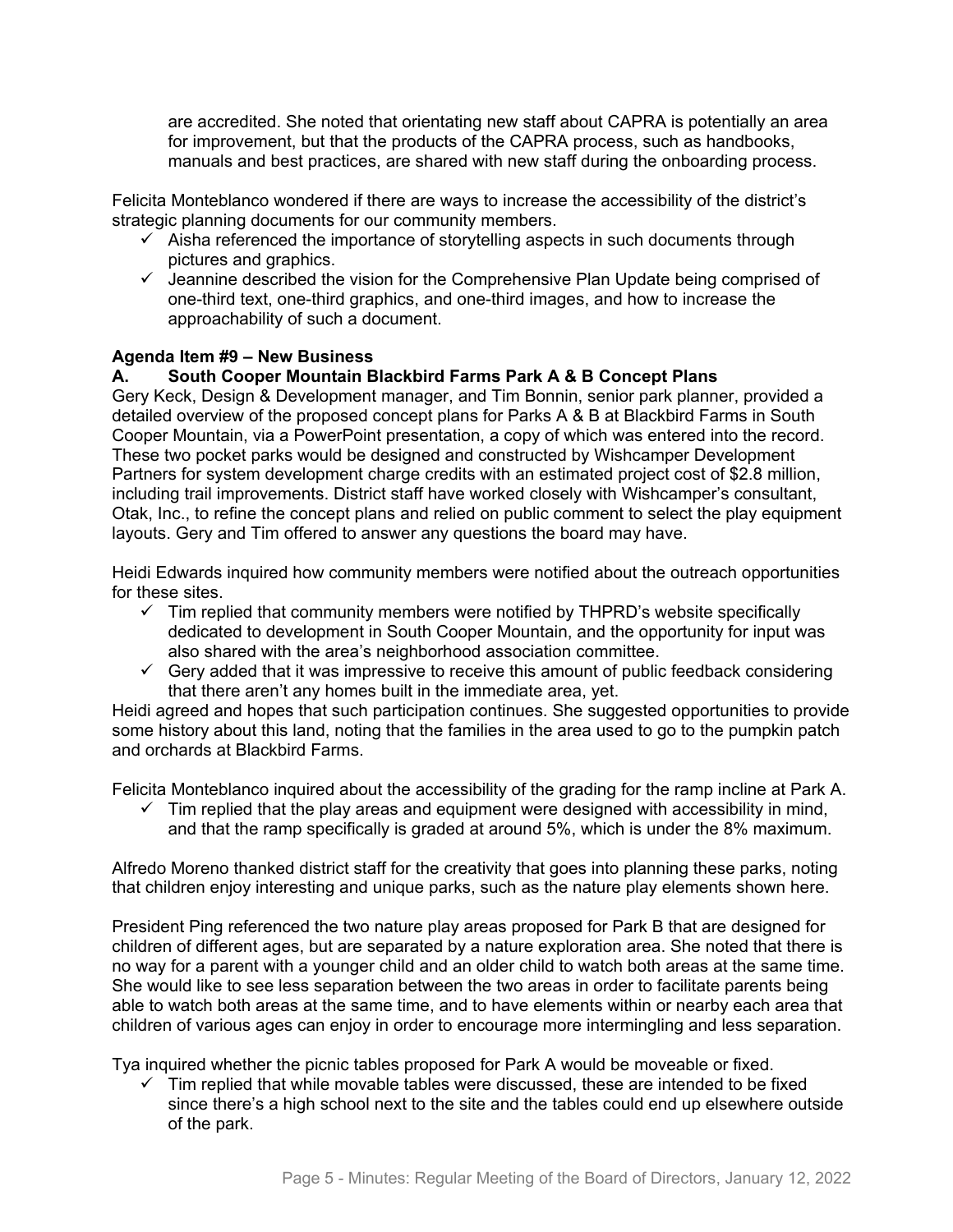are accredited. She noted that orientating new staff about CAPRA is potentially an area for improvement, but that the products of the CAPRA process, such as handbooks, manuals and best practices, are shared with new staff during the onboarding process.

Felicita Monteblanco wondered if there are ways to increase the accessibility of the district's strategic planning documents for our community members.

- $\checkmark$  Aisha referenced the importance of storytelling aspects in such documents through pictures and graphics.
- $\checkmark$  Jeannine described the vision for the Comprehensive Plan Update being comprised of one-third text, one-third graphics, and one-third images, and how to increase the approachability of such a document.

### **Agenda Item #9 – New Business**

# **A. South Cooper Mountain Blackbird Farms Park A & B Concept Plans**

Gery Keck, Design & Development manager, and Tim Bonnin, senior park planner, provided a detailed overview of the proposed concept plans for Parks A & B at Blackbird Farms in South Cooper Mountain, via a PowerPoint presentation, a copy of which was entered into the record. These two pocket parks would be designed and constructed by Wishcamper Development Partners for system development charge credits with an estimated project cost of \$2.8 million, including trail improvements. District staff have worked closely with Wishcamper's consultant, Otak, Inc., to refine the concept plans and relied on public comment to select the play equipment layouts. Gery and Tim offered to answer any questions the board may have.

Heidi Edwards inquired how community members were notified about the outreach opportunities for these sites.

- $\checkmark$  Tim replied that community members were notified by THPRD's website specifically dedicated to development in South Cooper Mountain, and the opportunity for input was also shared with the area's neighborhood association committee.
- $\checkmark$  Gery added that it was impressive to receive this amount of public feedback considering that there aren't any homes built in the immediate area, yet.

Heidi agreed and hopes that such participation continues. She suggested opportunities to provide some history about this land, noting that the families in the area used to go to the pumpkin patch and orchards at Blackbird Farms.

Felicita Monteblanco inquired about the accessibility of the grading for the ramp incline at Park A.

 $\checkmark$  Tim replied that the play areas and equipment were designed with accessibility in mind, and that the ramp specifically is graded at around 5%, which is under the 8% maximum.

Alfredo Moreno thanked district staff for the creativity that goes into planning these parks, noting that children enjoy interesting and unique parks, such as the nature play elements shown here.

President Ping referenced the two nature play areas proposed for Park B that are designed for children of different ages, but are separated by a nature exploration area. She noted that there is no way for a parent with a younger child and an older child to watch both areas at the same time. She would like to see less separation between the two areas in order to facilitate parents being able to watch both areas at the same time, and to have elements within or nearby each area that children of various ages can enjoy in order to encourage more intermingling and less separation.

Tya inquired whether the picnic tables proposed for Park A would be moveable or fixed.

 $\checkmark$  Tim replied that while movable tables were discussed, these are intended to be fixed since there's a high school next to the site and the tables could end up elsewhere outside of the park.